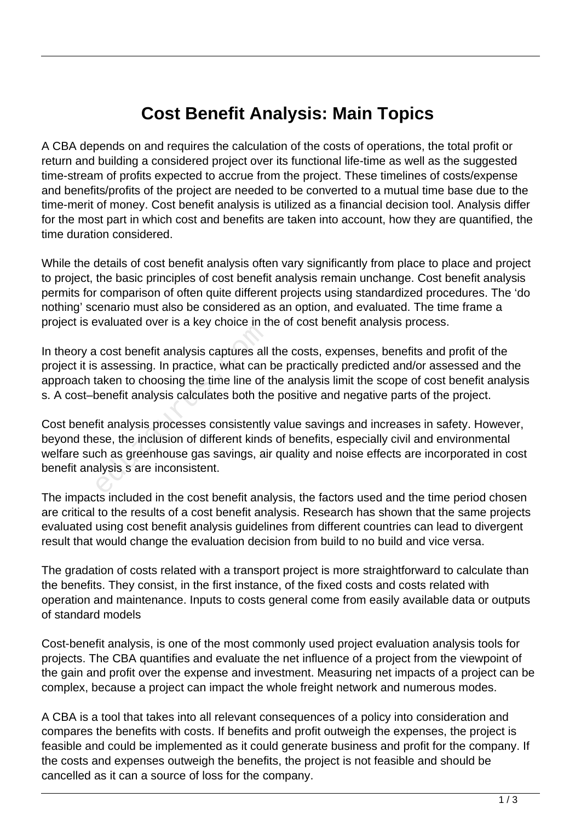## **Cost Benefit Analysis: Main Topics**

A CBA depends on and requires the calculation of the costs of operations, the total profit or return and building a considered project over its functional life-time as well as the suggested time-stream of profits expected to accrue from the project. These timelines of costs/expense and benefits/profits of the project are needed to be converted to a mutual time base due to the time-merit of money. Cost benefit analysis is utilized as a financial decision tool. Analysis differ for the most part in which cost and benefits are taken into account, how they are quantified, the time duration considered.

While the details of cost benefit analysis often vary significantly from place to place and project to project, the basic principles of cost benefit analysis remain unchange. Cost benefit analysis permits for comparison of often quite different projects using standardized procedures. The 'do nothing' scenario must also be considered as an option, and evaluated. The time frame a project is evaluated over is a key choice in the of cost benefit analysis process.

In theory a cost benefit analysis captures all the costs, expenses, benefits and profit of the project it is assessing. In practice, what can be practically predicted and/or assessed and the approach taken to choosing the time line of the analysis limit the scope of cost benefit analysis s. A cost–benefit analysis calculates both the positive and negative parts of the project. educed the cases of the cases of the cases of the cases all<br>assessing. In practice, what can<br>taken to choosing the time line of the<br>benefit analysis calculates both the<br>fit analysis processes consistently<br>see, the inclusio

Cost benefit analysis processes consistently value savings and increases in safety. However, beyond these, the inclusion of different kinds of benefits, especially civil and environmental welfare such as greenhouse gas savings, air quality and noise effects are incorporated in cost benefit analysis s are inconsistent.

The impacts included in the cost benefit analysis, the factors used and the time period chosen are critical to the results of a cost benefit analysis. Research has shown that the same projects evaluated using cost benefit analysis guidelines from different countries can lead to divergent result that would change the evaluation decision from build to no build and vice versa.

The gradation of costs related with a transport project is more straightforward to calculate than the benefits. They consist, in the first instance, of the fixed costs and costs related with operation and maintenance. Inputs to costs general come from easily available data or outputs of standard models

Cost-benefit analysis, is one of the most commonly used project evaluation analysis tools for projects. The CBA quantifies and evaluate the net influence of a project from the viewpoint of the gain and profit over the expense and investment. Measuring net impacts of a project can be complex, because a project can impact the whole freight network and numerous modes.

A CBA is a tool that takes into all relevant consequences of a policy into consideration and compares the benefits with costs. If benefits and profit outweigh the expenses, the project is feasible and could be implemented as it could generate business and profit for the company. If the costs and expenses outweigh the benefits, the project is not feasible and should be cancelled as it can a source of loss for the company.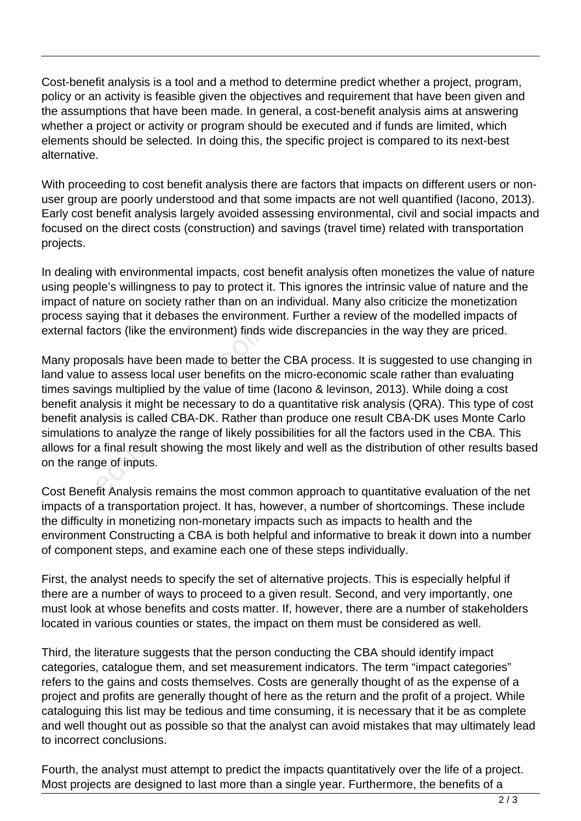Cost-benefit analysis is a tool and a method to determine predict whether a project, program, policy or an activity is feasible given the objectives and requirement that have been given and the assumptions that have been made. In general, a cost-benefit analysis aims at answering whether a project or activity or program should be executed and if funds are limited, which elements should be selected. In doing this, the specific project is compared to its next-best alternative.

With proceeding to cost benefit analysis there are factors that impacts on different users or nonuser group are poorly understood and that some impacts are not well quantified (Iacono, 2013). Early cost benefit analysis largely avoided assessing environmental, civil and social impacts and focused on the direct costs (construction) and savings (travel time) related with transportation projects.

In dealing with environmental impacts, cost benefit analysis often monetizes the value of nature using people's willingness to pay to protect it. This ignores the intrinsic value of nature and the impact of nature on society rather than on an individual. Many also criticize the monetization process saying that it debases the environment. Further a review of the modelled impacts of external factors (like the environment) finds wide discrepancies in the way they are priced.

Many proposals have been made to better the CBA process. It is suggested to use changing in land value to assess local user benefits on the micro-economic scale rather than evaluating times savings multiplied by the value of time (Iacono & levinson, 2013). While doing a cost benefit analysis it might be necessary to do a quantitative risk analysis (QRA). This type of cost benefit analysis is called CBA-DK. Rather than produce one result CBA-DK uses Monte Carlo simulations to analyze the range of likely possibilities for all the factors used in the CBA. This allows for a final result showing the most likely and well as the distribution of other results based on the range of inputs. ctors (like the environment) finds<br>
osals have been made to better the<br>
to assess local user benefits on the<br>
ngs multiplied by the value of time<br>
alysis it might be necessary to do<br>
alysis is called CBA-DK. Rather the<br>
s

Cost Benefit Analysis remains the most common approach to quantitative evaluation of the net impacts of a transportation project. It has, however, a number of shortcomings. These include the difficulty in monetizing non-monetary impacts such as impacts to health and the environment Constructing a CBA is both helpful and informative to break it down into a number of component steps, and examine each one of these steps individually.

First, the analyst needs to specify the set of alternative projects. This is especially helpful if there are a number of ways to proceed to a given result. Second, and very importantly, one must look at whose benefits and costs matter. If, however, there are a number of stakeholders located in various counties or states, the impact on them must be considered as well.

Third, the literature suggests that the person conducting the CBA should identify impact categories, catalogue them, and set measurement indicators. The term "impact categories" refers to the gains and costs themselves. Costs are generally thought of as the expense of a project and profits are generally thought of here as the return and the profit of a project. While cataloguing this list may be tedious and time consuming, it is necessary that it be as complete and well thought out as possible so that the analyst can avoid mistakes that may ultimately lead to incorrect conclusions.

Fourth, the analyst must attempt to predict the impacts quantitatively over the life of a project. Most projects are designed to last more than a single year. Furthermore, the benefits of a